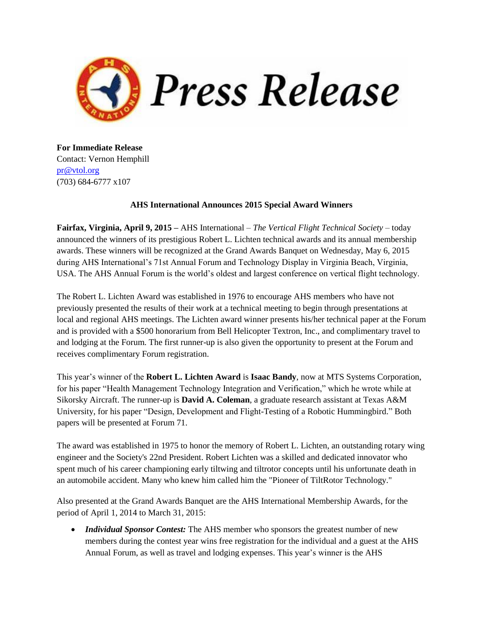

**For Immediate Release** Contact: Vernon Hemphill [pr@vtol.org](mailto:pr@vtol.org?subject=AHS%20Awards) (703) 684-6777 x107

## **AHS International Announces 2015 Special Award Winners**

**Fairfax, Virginia, April 9, 2015 –** AHS International – *The Vertical Flight Technical Society* – today announced the winners of its prestigious Robert L. Lichten technical awards and its annual membership awards. These winners will be recognized at the Grand Awards Banquet on Wednesday, May 6, 2015 during AHS International's 71st Annual Forum and Technology Display in Virginia Beach, Virginia, USA. The AHS Annual Forum is the world's oldest and largest conference on vertical flight technology.

The Robert L. Lichten Award was established in 1976 to encourage AHS members who have not previously presented the results of their work at a technical meeting to begin through presentations at local and regional AHS meetings. The Lichten award winner presents his/her technical paper at the Forum and is provided with a \$500 honorarium from Bell Helicopter Textron, Inc., and complimentary travel to and lodging at the Forum. The first runner-up is also given the opportunity to present at the Forum and receives complimentary Forum registration.

This year's winner of the **Robert L. Lichten Award** is **Isaac Bandy**, now at MTS Systems Corporation, for his paper "Health Management Technology Integration and Verification," which he wrote while at Sikorsky Aircraft. The runner-up is **David A. Coleman**, a graduate research assistant at Texas A&M University, for his paper "Design, Development and Flight-Testing of a Robotic Hummingbird." Both papers will be presented at Forum 71.

The award was established in 1975 to honor the memory of Robert L. Lichten, an outstanding rotary wing engineer and the Society's 22nd President. Robert Lichten was a skilled and dedicated innovator who spent much of his career championing early tiltwing and tiltrotor concepts until his unfortunate death in an automobile accident. Many who knew him called him the "Pioneer of TiltRotor Technology."

Also presented at the Grand Awards Banquet are the AHS International Membership Awards, for the period of April 1, 2014 to March 31, 2015:

 *Individual Sponsor Contest:* The AHS member who sponsors the greatest number of new members during the contest year wins free registration for the individual and a guest at the AHS Annual Forum, as well as travel and lodging expenses. This year's winner is the AHS